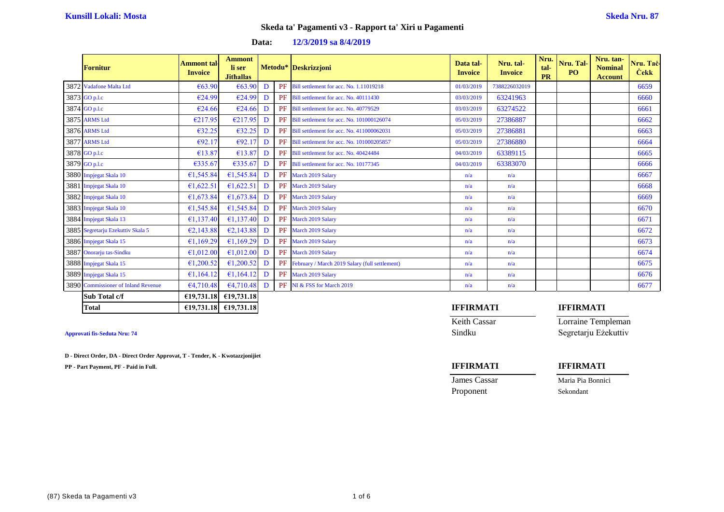### **Data: 12/3/2019 sa 8/4/2019**

| <b>Fornitur</b>                     | <b>Ammont tal-</b><br><b>Invoice</b> | <b>Ammont</b><br>li ser<br><b>Jithallas</b> |   | Metodu* Deskrizzjoni                              | Data tal-<br><b>Invoice</b> | Nru. tal-<br><b>Invoice</b> | Nru.<br>tal-<br><b>PR</b> | Nru. Tal-<br>PO <sub>1</sub> | Nru. tan-<br><b>Nominal</b><br><b>Account</b> | Nru. Taċ-<br><b>Cekk</b> |
|-------------------------------------|--------------------------------------|---------------------------------------------|---|---------------------------------------------------|-----------------------------|-----------------------------|---------------------------|------------------------------|-----------------------------------------------|--------------------------|
| 3872 Vadafone Malta Ltd             | €63.90                               | €63.90                                      | D | PF Bill settlement for acc. No. 1.11019218        | 01/03/2019                  | 7388226032019               |                           |                              |                                               | 6659                     |
| 3873 GO p.l.c                       | €24.99                               | €24.99                                      | D | PF Bill settlement for acc. No. 40111430          | 03/03/2019                  | 63241963                    |                           |                              |                                               | 6660                     |
| 3874 GO p.l.c                       | €24.66                               | €24.66                                      | D | PF Bill settlement for acc. No. 40779529          | 03/03/2019                  | 63274522                    |                           |                              |                                               | 6661                     |
| 3875 ARMS Ltd                       | €217.95                              | E217.95                                     | D | PF Bill settlement for acc. No. 101000126074      | 05/03/2019                  | 27386887                    |                           |                              |                                               | 6662                     |
| 3876 ARMS Ltd                       | €32.25                               | €32.25                                      | D | PF Bill settlement for acc. No. 411000062031      | 05/03/2019                  | 27386881                    |                           |                              |                                               | 6663                     |
| 3877 ARMS Ltd                       | €92.17                               | E92.17                                      | D | PF Bill settlement for acc. No. 101000205857      | 05/03/2019                  | 27386880                    |                           |                              |                                               | 6664                     |
| 3878 GO p.l.c                       | €13.87                               | €13.87                                      | D | PF Bill settlement for acc. No. 40424484          | 04/03/2019                  | 63389115                    |                           |                              |                                               | 6665                     |
| 3879 GO p.l.c                       | €335.67                              | €335.67                                     | D | PF Bill settlement for acc. No. 10177345          | 04/03/2019                  | 63383070                    |                           |                              |                                               | 6666                     |
| 3880 Impjegat Skala 10              | €1,545.84                            | 61,545.84                                   | D | PF March 2019 Salary                              | n/a                         | n/a                         |                           |                              |                                               | 6667                     |
| 3881 Impjegat Skala 10              | €1,622.51                            | €1,622.51                                   | D | PF March 2019 Salary                              | n/a                         | n/a                         |                           |                              |                                               | 6668                     |
| 3882 Impjegat Skala 10              | €1,673.84                            | £1,673.84                                   | D | PF March 2019 Salary                              | n/a                         | n/a                         |                           |                              |                                               | 6669                     |
| 3883 Impjegat Skala 10              | £1,545.84                            | £1,545.84                                   | D | PF March 2019 Salary                              | n/a                         | n/a                         |                           |                              |                                               | 6670                     |
| 3884 Impjegat Skala 13              | €1,137.40                            | 61,137.40                                   | D | PF March 2019 Salary                              | n/a                         | n/a                         |                           |                              |                                               | 6671                     |
| 3885 Segretarju Ezekuttiv Skala 5   | E2,143.88                            | E2,143.88                                   | D | PF March 2019 Salary                              | n/a                         | n/a                         |                           |                              |                                               | 6672                     |
| 3886 Impjegat Skala 15              | £1,169.29                            | £1,169.29                                   | D | PF March 2019 Salary                              | n/a                         | n/a                         |                           |                              |                                               | 6673                     |
| 3887 Onorarju tas-Sindku            | €1,012.00                            | €1,012.00                                   | D | PF March 2019 Salary                              | n/a                         | n/a                         |                           |                              |                                               | 6674                     |
| 3888 Impjegat Skala 15              | €1,200.52                            | £1,200.52                                   | D | PF February / March 2019 Salary (full settlement) | n/a                         | n/a                         |                           |                              |                                               | 6675                     |
| 3889 Impjegat Skala 15              | £1,164.12                            | £1,164,12                                   | D | PF March 2019 Salary                              | n/a                         | n/a                         |                           |                              |                                               | 6676                     |
| 3890 Commissioner of Inland Revenue | 64,710.48                            | 64,710.48                                   | D | PF NI & FSS for March 2019                        | n/a                         | n/a                         |                           |                              |                                               | 6677                     |
| Sub Total c/f                       |                                      | €19,731.18 $\in$ 19,731.18                  |   |                                                   |                             |                             |                           |                              |                                               |                          |

**D - Direct Order, DA - Direct Order Approvat, T - Tender, K - Kwotazzjonijiet**

**PP - Part Payment, PF - Paid in Full. IFFIRMATI IFFIRMATI**

### **Total €19,731.18 €19,731.18 IFFIRMATI IFFIRMATI**

Keith Cassar **Lorraine Templeman Approvati fis-Seduta Nru: 74** Sindku Segretarju Eżekuttiv

**James Cassar Maria Pia Bonnici** 

Proponent Sekondant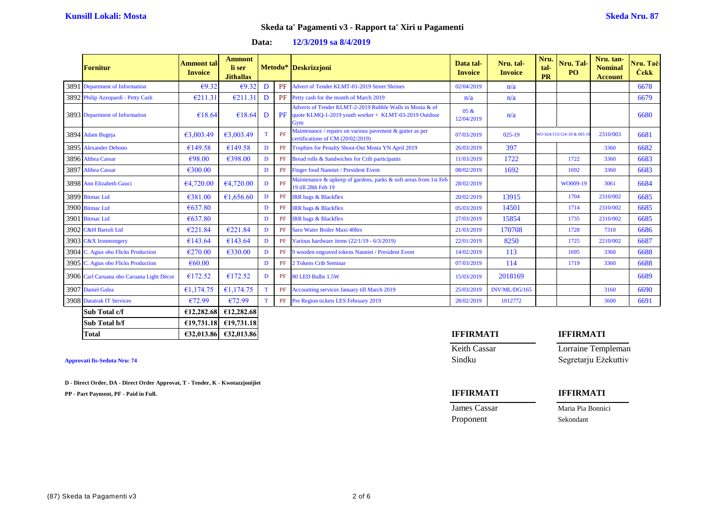| Data: | 12/3/2019 sa 8/4/2019 |
|-------|-----------------------|
|-------|-----------------------|

| <b>Fornitur</b>                           | Ammont tal<br><b>Invoice</b> | <b>Ammont</b><br>li ser<br><b>Jithallas</b> |              |    | Metodu* Deskrizzjoni                                                                                                     | Data tal-<br><b>Invoice</b> | Nru. tal-<br><b>Invoice</b> | Nru.<br>tal-<br><b>PR</b> | Nru. Tal-<br>PO <sub>1</sub> | Nru. tan-<br><b>Nominal</b><br><b>Account</b> | Nru. Taċ-<br><b>Cekk</b> |
|-------------------------------------------|------------------------------|---------------------------------------------|--------------|----|--------------------------------------------------------------------------------------------------------------------------|-----------------------------|-----------------------------|---------------------------|------------------------------|-----------------------------------------------|--------------------------|
| 3891 Department of Information            | E9.32                        | €9.32                                       | D            | PF | Advert of Tender KLMT-01-2019 Street Shrines                                                                             | 02/04/2019                  | n/a                         |                           |                              |                                               | 6678                     |
| 3892 Philip Azzopardi - Petty Cash        | E211.31                      | €211.31                                     | D            |    | PF Petty cash for the month of March 2019                                                                                | n/a                         | n/a                         |                           |                              |                                               | 6679                     |
| 3893 Department of Information            | €18.64                       | €18.64                                      | D            | PF | Adverts of Tender KLMT-2-2019 Rubble Walls in Mosta & of<br>quote KLMQ-1-2019 youth worker + KLMT-03-2019 Outdoor<br>Gym | 05 &<br>12/04/2019          | n/a                         |                           |                              |                                               | 6680                     |
| 3894 Adam Bugeja                          | 63,003.49                    | £3,003.49                                   | T.           | PF | Maintenance / repairs on various pavement & gutter as per<br>certifications of CM (20/02/2019)                           | 07/03/2019                  | $025-19$                    |                           | WO 024/115/124-18 & 005-1    | 2310/003                                      | 6681                     |
| 3895 Alexander Debono                     | €149.58                      | €149.58                                     | D            | PF | Trophies for Penalty Shoot-Out Mosta YN April 2019                                                                       | 26/03/2019                  | 397                         |                           |                              | 3360                                          | 6682                     |
| 3896 Althea Cassar                        | €98.00                       | €398.00                                     | D            | PF | Bread rolls & Sandwiches for Crib participants                                                                           | 11/03/2019                  | 1722                        |                           | 1722                         | 3360                                          | 6683                     |
| 3897 Althea Cassar                        | €300.00                      |                                             | D            | PF | <b>Finger food Nanniet / President Event</b>                                                                             | 08/02/2019                  | 1692                        |                           | 1692                         | 3360                                          | 6683                     |
| 3898 Ann Elizabeth Gauci                  | 64,720.00                    | 64,720.00                                   | D            | PF | Maintenance & upkeep of gardens, parks & soft areas from 1st Feb<br>19 till 28th Feb 19                                  | 28/02/2019                  |                             |                           | WO009-19                     | 3061                                          | 6684                     |
| 3899 Bitmac Ltd                           | €381.00                      | £1,656.60                                   | D            | PF | <b>IRR</b> bags & Blackflex                                                                                              | 20/02/2019                  | 13915                       |                           | 1704                         | 2310/002                                      | 6685                     |
| 3900 Bitmac Ltd                           | €637.80                      |                                             | D            | PF | <b>IRR</b> bags & Blackflex                                                                                              | 05/03/2019                  | 14501                       |                           | 1714                         | 2310/002                                      | 6685                     |
| 3901 Bitmac Ltd                           | €637.80                      |                                             | $\mathbf{D}$ | PF | <b>IRR</b> bags & Blackflex                                                                                              | 27/03/2019                  | 15854                       |                           | 1735                         | 2310/002                                      | 6685                     |
| 3902 C&H Bartoli Ltd                      | €221.84                      | €221.84                                     | D            | PF | Saro Water Boiler Maxi 40ltrs                                                                                            | 21/03/2019                  | 170708                      |                           | 1728                         | 7310                                          | 6686                     |
| 3903 C&X Ironmongery                      | €143.64                      | €143.64                                     | D            | PF | Various hardware items (22/1/19 - 6/3/2019)                                                                              | 22/01/2019                  | 8250                        |                           | 1725                         | 2210/002                                      | 6687                     |
| 3904 C. Agius obo Flicks Production       | €270.00                      | €330.00                                     | D            | PF | 9 wooden engraved tokens Nanniet / President Event                                                                       | 14/02/2019                  | 113                         |                           | 1695                         | 3360                                          | 6688                     |
| 3905 C. Agius obo Flicks Production       | €60.00                       |                                             | D            | PF | 2 Tokens Crib Seminar                                                                                                    | 07/03/2019                  | 114                         |                           | 1719                         | 3360                                          | 6688                     |
| 3906 Carl Caruana obo Caruana Light Décor | €172.52                      | €172.52                                     | D            | PF | 80 LED Bulbs 1.5W                                                                                                        | 15/03/2019                  | 2018169                     |                           |                              |                                               | 6689                     |
| 3907 Daniel Galea                         | €1,174.75                    | £1,174.75                                   | $\mathbf T$  | PF | Accounting services January till March 2019                                                                              | 25/03/2019                  | INV/ML/DG/165               |                           |                              | 3160                                          | 6690                     |
| <b>3908</b> Datatrak IT Services          | €72.99                       | €72.99                                      | T            |    | PF Pre Region tickets LES February 2019                                                                                  | 28/02/2019                  | 1012772                     |                           |                              | 3600                                          | 6691                     |
| Sub Total c/f                             | €12,282.68                   | €12,282.68                                  |              |    |                                                                                                                          |                             |                             |                           |                              |                                               |                          |
| Sub Total b/f                             |                              | €19,731.18 €19,731.18                       |              |    |                                                                                                                          |                             |                             |                           |                              |                                               |                          |

**D - Direct Order, DA - Direct Order Approvat, T - Tender, K - Kwotazzjonijiet**

**PP - Part Payment, PF - Paid in Full. IFFIRMATI IFFIRMATI**

# **Total €32,013.86 €32,013.86 IFFIRMATI IFFIRMATI** Keith Cassar Lorraine Templeman **Approvati fis-Seduta Nru: 74** Sindku Segretarju Eżekuttiv

| James Cassar | Maria Pia Bonnici |
|--------------|-------------------|
| Proponent    | Sekondant         |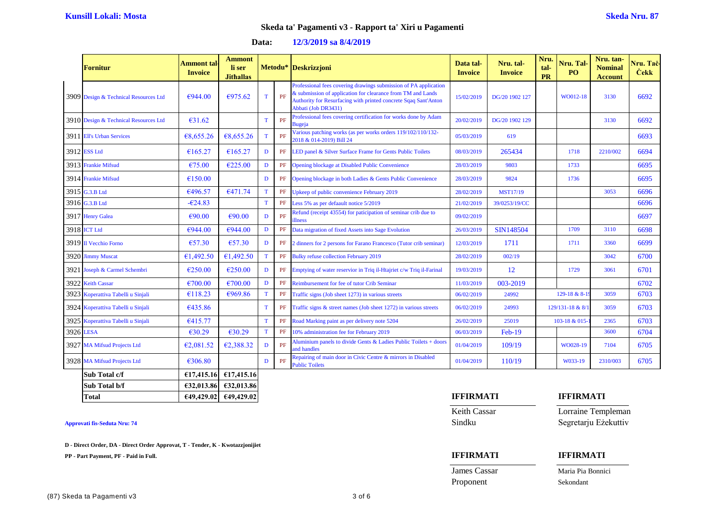### **Data: 12/3/2019 sa 8/4/2019**

|           | <b>Fornitur</b>                       | Ammont tal·<br><b>Invoice</b> | <b>Ammont</b><br>li ser<br><b>Jithallas</b> |             |    | Metodu* Deskrizzjoni                                                                                                                                                                                                      | Data tal-<br><b>Invoice</b> | Nru. tal-<br><b>Invoice</b> | Nru.<br>tal-<br><b>PR</b> | Nru. Tal-<br>P <sub>O</sub> | Nru. tan-<br><b>Nominal</b><br><b>Account</b> | Nru. Tač-<br><b>Cekk</b> |
|-----------|---------------------------------------|-------------------------------|---------------------------------------------|-------------|----|---------------------------------------------------------------------------------------------------------------------------------------------------------------------------------------------------------------------------|-----------------------------|-----------------------------|---------------------------|-----------------------------|-----------------------------------------------|--------------------------|
|           | 3909 Design & Technical Resources Ltd | €944.00                       | €975.62                                     | T           | PF | Professional fees covering drawings submission of PA application<br>& submission of application for clearance from TM and Lands<br>Authority for Resurfacing with printed concrete Sqaq Sant'Anton<br>Abbati (Job DR3431) | 15/02/2019                  | DG/20 1902 127              |                           | WO012-18                    | 3130                                          | 6692                     |
|           | 3910 Design & Technical Resources Ltd | €31.62                        |                                             | $\mathbf T$ | PF | Professional fees covering certification for works done by Adam<br><b>Bugeja</b>                                                                                                                                          | 20/02/2019                  | DG/20 1902 129              |                           |                             | 3130                                          | 6692                     |
|           | 3911 Ell's Urban Services             | 68,655.26                     | €8,655.26                                   | T           | PF | Various patching works (as per works orders 119/102/110/132-<br>2018 & 014-2019) Bill 24                                                                                                                                  | 05/03/2019                  | 619                         |                           |                             |                                               | 6693                     |
|           | 3912 ESS Ltd                          | €165.27                       | €165.27                                     | D           | PF | LED panel & Silver Surface Frame for Gents Public Toilets                                                                                                                                                                 | 08/03/2019                  | 265434                      |                           | 1718                        | 2210/002                                      | 6694                     |
|           | 3913 Frankie Mifsud                   | €75.00                        | €225.00                                     | $\mathbf D$ | PF | Opening blockage at Disabled Public Convenience                                                                                                                                                                           | 28/03/2019                  | 9803                        |                           | 1733                        |                                               | 6695                     |
|           | 3914 Frankie Mifsud                   | €150.00                       |                                             | D           | PF | Opening blockage in both Ladies & Gents Public Convenience                                                                                                                                                                | 28/03/2019                  | 9824                        |                           | 1736                        |                                               | 6695                     |
|           | 3915 G.3.B Ltd                        | €496.57                       | €471.74                                     | $\mathbf T$ | PF | Upkeep of public convenience February 2019                                                                                                                                                                                | 28/02/2019                  | <b>MST17/19</b>             |                           |                             | 3053                                          | 6696                     |
|           | 3916 G.3.B Ltd                        | $-624.83$                     |                                             | $\mathbf T$ | PF | Less 5% as per defaault notice 5/2019                                                                                                                                                                                     | 21/02/2019                  | 39/0253/19/CC               |                           |                             |                                               | 6696                     |
|           | 3917 Henry Galea                      | €90.00                        | €90.00                                      | D           | PF | Refund (receipt 43554) for paticipation of seminar crib due to<br><b>illness</b>                                                                                                                                          | 09/02/2019                  |                             |                           |                             |                                               | 6697                     |
|           | 3918 ICT Ltd                          | €944.00                       | €944.00                                     | $\mathbf D$ | PF | Data migration of fixed Assets into Sage Evolution                                                                                                                                                                        | 26/03/2019                  | SIN148504                   |                           | 1709                        | 3110                                          | 6698                     |
|           | 3919 Il Vecchio Forno                 | €57.30                        | €57.30                                      | D           | PF | 2 dinners for 2 persons for Farano Francesco (Tutor crib seminar)                                                                                                                                                         | 12/03/2019                  | 1711                        |                           | 1711                        | 3360                                          | 6699                     |
|           | 3920 Jimmy Muscat                     | €1,492.50                     | €1,492.50                                   | $\mathbf T$ | PF | <b>Bulky refuse collection February 2019</b>                                                                                                                                                                              | 28/02/2019                  | 002/19                      |                           |                             | 3042                                          | 6700                     |
|           | 3921 Joseph & Carmel Schembri         | €250.00                       | €250.00                                     | D           | PF | Emptying of water reservior in Triq il-Htajriet c/w Triq il-Farinal                                                                                                                                                       | 19/03/2019                  | 12                          |                           | 1729                        | 3061                                          | 6701                     |
|           | 3922 Keith Cassar                     | $\epsilon$ 700.00             | $\epsilon$ 700.00                           | D           | PF | Reimbursement for fee of tutor Crib Seminar                                                                                                                                                                               | 11/03/2019                  | 003-2019                    |                           |                             |                                               | 6702                     |
|           | 3923 Koperattiva Tabelli u Sinjali    | €118.23                       | €969.86                                     | $\mathbf T$ | PF | Traffic signs (Job sheet 1273) in various streets                                                                                                                                                                         | 06/02/2019                  | 24992                       |                           | 129-18 & 8-19               | 3059                                          | 6703                     |
|           | 3924 Koperattiva Tabelli u Sinjali    | €435.86                       |                                             | $\mathbf T$ | PF | Traffic signs & street names (Job sheet 1272) in various streets                                                                                                                                                          | 06/02/2019                  | 24993                       |                           | 129/131-18 & 8/1            | 3059                                          | 6703                     |
|           | 3925 Koperattiva Tabelli u Sinjali    | €415.77                       |                                             | $\mathbf T$ | PF | Road Marking paint as per delivery note 5204                                                                                                                                                                              | 26/02/2019                  | 25019                       |                           | 103-18 & 015-               | 2365                                          | 6703                     |
| 3926 LESA |                                       | €30.29                        | €30.29                                      | T           | PF | 10% administration fee for February 2019                                                                                                                                                                                  | 06/03/2019                  | Feb-19                      |                           |                             | 3600                                          | 6704                     |
|           | 3927 MA Mifsud Projects Ltd           | E2,081.52                     | E2,388.32                                   | D           | PF | Aluminium panels to divide Gents & Ladies Public Toilets + doors<br>and handles                                                                                                                                           | 01/04/2019                  | 109/19                      |                           | WO028-19                    | 7104                                          | 6705                     |
|           | 3928 MA Mifsud Projects Ltd           | €306.80                       |                                             | D           | PF | Repairing of main door in Civic Centre & mirrors in Disabled<br><b>Public Toilets</b>                                                                                                                                     | 01/04/2019                  | 110/19                      |                           | W033-19                     | 2310/003                                      | 6705                     |
|           | Sub Total c/f                         |                               | €17,415.16 €17,415.16                       |             |    |                                                                                                                                                                                                                           |                             |                             |                           |                             |                                               |                          |

| <b>IFFIRMATI</b>    | <b>IFFIRMATI</b>     |
|---------------------|----------------------|
| <b>Keith Cassar</b> | Lorraine Templeman   |
| Sindku              | Segretarju Ezekuttiv |
|                     |                      |
|                     |                      |

Proponent Sekondant

**James Cassar Maria Pia Bonnici** 

# **Approvati fis-Seduta Nru: 74**

**D - Direct Order, DA - Direct Order Approvat, T - Tender, K - Kwotazzjonijiet**

**Sub Total b/f €32,013.86 €32,013.86**

**PP - Part Payment, PF - Paid in Full. IFFIRMATI IFFIRMATI**

(87) Skeda ta Pagamenti v3 3 of 6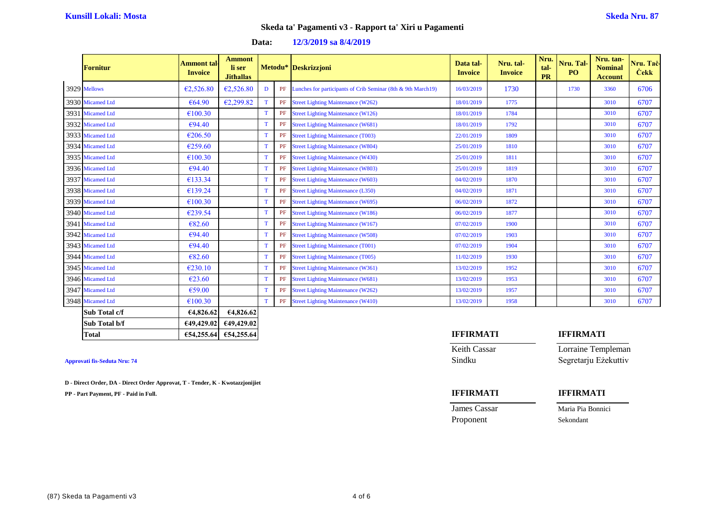| Data: | 12/3/2019 sa 8/4/2019 |  |
|-------|-----------------------|--|
|-------|-----------------------|--|

| <b>Fornitur</b>  | <b>Ammont tal-</b><br><b>Invoice</b> | <b>Ammont</b><br>li ser<br><b>Jithallas</b> |             |          | Metodu* Deskrizzjoni                                         | Data tal-<br><b>Invoice</b> | Nru. tal-<br><b>Invoice</b> | Nru.<br>tal-<br><b>PR</b> | Nru. Tal-<br>P <sub>O</sub> | Nru. tan-<br><b>Nominal</b><br><b>Account</b> | Nru. Tač-<br><b>Cekk</b> |
|------------------|--------------------------------------|---------------------------------------------|-------------|----------|--------------------------------------------------------------|-----------------------------|-----------------------------|---------------------------|-----------------------------|-----------------------------------------------|--------------------------|
| 3929 Mellows     | €2,526.80                            | E2,526.80                                   | D           | PF       | Lunches for participants of Crib Seminar (8th & 9th March19) | 16/03/2019                  | 1730                        |                           | 1730                        | 3360                                          | 6706                     |
| 3930 Micamed Ltd | €64.90                               | E2,299.82                                   | $\mathbf T$ | PF       | <b>Street Lighting Maintenance (W262)</b>                    | 18/01/2019                  | 1775                        |                           |                             | 3010                                          | 6707                     |
| 3931 Micamed Ltd | €100.30                              |                                             | T           | PF       | <b>Street Lighting Maintenance (W126)</b>                    | 18/01/2019                  | 1784                        |                           |                             | 3010                                          | 6707                     |
| 3932 Micamed Ltd | $\epsilon$ 94.40                     |                                             | $\mathbf T$ | PF       | <b>Street Lighting Maintenance (W681)</b>                    | 18/01/2019                  | 1792                        |                           |                             | 3010                                          | 6707                     |
| 3933 Micamed Ltd | €206.50                              |                                             | T           | PF       | <b>Street Lighting Maintenance (T003)</b>                    | 22/01/2019                  | 1809                        |                           |                             | 3010                                          | 6707                     |
| 3934 Micamed Ltd | €259.60                              |                                             | T           | PF       | <b>Street Lighting Maintenance (W804)</b>                    | 25/01/2019                  | 1810                        |                           |                             | 3010                                          | 6707                     |
| 3935 Micamed Ltd | €100.30                              |                                             | T           | PF       | <b>Street Lighting Maintenance (W430)</b>                    | 25/01/2019                  | 1811                        |                           |                             | 3010                                          | 6707                     |
| 3936 Micamed Ltd | €94.40                               |                                             | T           | PF       | <b>Street Lighting Maintenance (W803)</b>                    | 25/01/2019                  | 1819                        |                           |                             | 3010                                          | 6707                     |
| 3937 Micamed Ltd | €133.34                              |                                             | T           | PF       | <b>Street Lighting Maintenance (W603)</b>                    | 04/02/2019                  | 1870                        |                           |                             | 3010                                          | 6707                     |
| 3938 Micamed Ltd | €139.24                              |                                             | T           | $\rm PF$ | <b>Street Lighting Maintenance (L350)</b>                    | 04/02/2019                  | 1871                        |                           |                             | 3010                                          | 6707                     |
| 3939 Micamed Ltd | €100.30                              |                                             | T           | PF       | <b>Street Lighting Maintenance (W695)</b>                    | 06/02/2019                  | 1872                        |                           |                             | 3010                                          | 6707                     |
| 3940 Micamed Ltd | €239.54                              |                                             | T           | PF       | <b>Street Lighting Maintenance (W186)</b>                    | 06/02/2019                  | 1877                        |                           |                             | 3010                                          | 6707                     |
| 3941 Micamed Ltd | €82.60                               |                                             | T           | PF       | <b>Street Lighting Maintenance (W167)</b>                    | 07/02/2019                  | 1900                        |                           |                             | 3010                                          | 6707                     |
| 3942 Micamed Ltd | €94.40                               |                                             | T           | PF       | <b>Street Lighting Maintenance (W508)</b>                    | 07/02/2019                  | 1903                        |                           |                             | 3010                                          | 6707                     |
| 3943 Micamed Ltd | €94.40                               |                                             | T           | PF       | <b>Street Lighting Maintenance (T001)</b>                    | 07/02/2019                  | 1904                        |                           |                             | 3010                                          | 6707                     |
| 3944 Micamed Ltd | €82.60                               |                                             | T           | PF       | <b>Street Lighting Maintenance (T005)</b>                    | 11/02/2019                  | 1930                        |                           |                             | 3010                                          | 6707                     |
| 3945 Micamed Ltd | €230.10                              |                                             | T           | PF       | <b>Street Lighting Maintenance (W361)</b>                    | 13/02/2019                  | 1952                        |                           |                             | 3010                                          | 6707                     |
| 3946 Micamed Ltd | €23.60                               |                                             | T           | PF       | <b>Street Lighting Maintenance (W681)</b>                    | 13/02/2019                  | 1953                        |                           |                             | 3010                                          | 6707                     |
| 3947 Micamed Ltd | €59.00                               |                                             | T           | PF       | <b>Street Lighting Maintenance (W262)</b>                    | 13/02/2019                  | 1957                        |                           |                             | 3010                                          | 6707                     |
| 3948 Micamed Ltd | €100.30                              |                                             | T           | PF       | <b>Street Lighting Maintenance (W410)</b>                    | 13/02/2019                  | 1958                        |                           |                             | 3010                                          | 6707                     |
| Sub Total c/f    | 6482662                              | 6482662                                     |             |          |                                                              |                             |                             |                           |                             |                                               |                          |

| Sub Total c/f | €4.826.62  | €4,826.62  |                  |           |
|---------------|------------|------------|------------------|-----------|
| Sub Total b/f | €49,429.02 | €49,429.02 |                  |           |
| Total         | €54,255.64 | €54,255.64 | <b>IFFIRMATI</b> | IFFIRMATI |
|               |            |            |                  |           |

**D - Direct Order, DA - Direct Order Approvat, T - Tender, K - Kwotazzjonijiet**

**PP - Part Payment, PF - Paid in Full. IFFIRMATI IFFIRMATI**

| <b>Total</b>                        | €54,255.64 €54,255.64 | <b>IFFIRMATI</b> | <b>IFFIRMATI</b>     |
|-------------------------------------|-----------------------|------------------|----------------------|
|                                     |                       | Keith Cassar     | Lorraine Templeman   |
| <b>Approvati fis-Seduta Nru: 74</b> |                       | Sindku           | Segretarju Ezekuttiv |
|                                     |                       |                  |                      |

| James Cassar | Maria Pia Bonnici |
|--------------|-------------------|
| Proponent    | Sekondant         |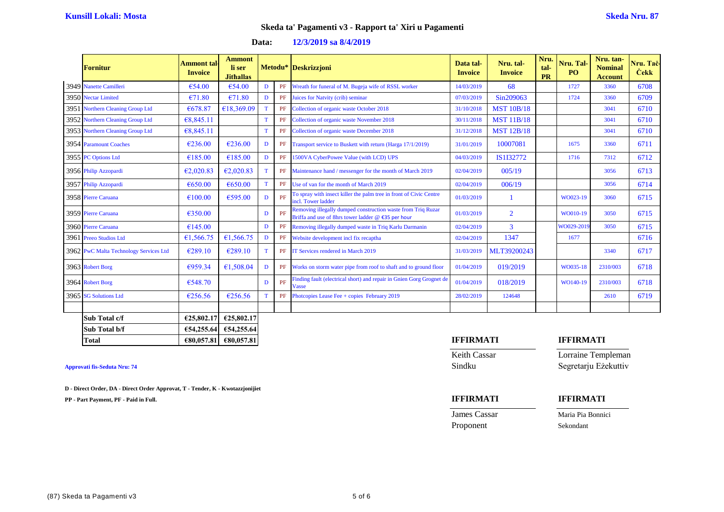| Data: | 12/3/2019 sa 8/4/2019 |
|-------|-----------------------|
|-------|-----------------------|

| <b>Fornitur</b>                        | Ammont tal-<br><b>Invoice</b> | <b>Ammont</b><br>li ser<br><b>Jithallas</b> |   |    | Metodu* Deskrizzjoni                                                                                               | Data tal-<br><b>Invoice</b> | Nru. tal-<br><b>Invoice</b> | Nru.<br>tal-<br><b>PR</b> | Nru. Tal-<br>P <sub>O</sub> | Nru. tan-<br><b>Nominal</b><br><b>Account</b> | Nru. Tac-<br><b>Cekk</b> |
|----------------------------------------|-------------------------------|---------------------------------------------|---|----|--------------------------------------------------------------------------------------------------------------------|-----------------------------|-----------------------------|---------------------------|-----------------------------|-----------------------------------------------|--------------------------|
| 3949 Nanette Camilleri                 | €54.00                        | €54.00                                      | D | PF | Wreath for funeral of M. Bugeja wife of RSSL worker                                                                | 14/03/2019                  | 68                          |                           | 1727                        | 3360                                          | 6708                     |
| 3950 Nectar Limited                    | €71.80                        | €71.80                                      | D | PF | Juices for Natvity (crib) seminar                                                                                  | 07/03/2019                  | Sin209063                   |                           | 1724                        | 3360                                          | 6709                     |
| 3951 Northern Cleaning Group Ltd       | €678.87                       | €18,369.09                                  | T | PF | Collection of organic waste October 2018                                                                           | 31/10/2018                  | <b>MST 10B/18</b>           |                           |                             | 3041                                          | 6710                     |
| 3952 Northern Cleaning Group Ltd       | €8,845.11                     |                                             | T | PF | Collection of organic waste November 2018                                                                          | 30/11/2018                  | <b>MST 11B/18</b>           |                           |                             | 3041                                          | 6710                     |
| 3953 Northern Cleaning Group Ltd       | €8,845.11                     |                                             | T | PF | Collection of organic waste December 2018                                                                          | 31/12/2018                  | <b>MST 12B/18</b>           |                           |                             | 3041                                          | 6710                     |
| 3954 Paramount Coaches                 | €236.00                       | €236.00                                     | D | PF | Transport service to Buskett with return (Harga 17/1/2019)                                                         | 31/01/2019                  | 10007081                    |                           | 1675                        | 3360                                          | 6711                     |
| 3955 PC Options Ltd                    | €185.00                       | €185.00                                     | D | PF | 1500VA CyberPowee Value (with LCD) UPS                                                                             | 04/03/2019                  | IS1I32772                   |                           | 1716                        | 7312                                          | 6712                     |
| 3956 Philip Azzopardi                  | E2,020.83                     | E2,020.83                                   | T | PF | Maintenance hand / messenger for the month of March 2019                                                           | 02/04/2019                  | 005/19                      |                           |                             | 3056                                          | 6713                     |
| 3957 Philip Azzopardi                  | €650.00                       | €650.00                                     | T | PF | Use of van for the month of March 2019                                                                             | 02/04/2019                  | 006/19                      |                           |                             | 3056                                          | 6714                     |
| 3958 Pierre Caruana                    | €100.00                       | €595.00                                     | D | PF | To spray with insect killer the palm tree in front of Civic Centre<br>incl. Tower ladder                           | 01/03/2019                  |                             |                           | WO023-19                    | 3060                                          | 6715                     |
| 3959 Pierre Caruana                    | €350.00                       |                                             | D | PF | Removing illegally dumped construction waste from Triq Ruzar<br>Briffa and use of 8hrs tower ladder @ €35 per hour | 01/03/2019                  | $\overline{2}$              |                           | WO010-19                    | 3050                                          | 6715                     |
| 3960 Pierre Caruana                    | €145.00                       |                                             | D | PF | Removing illegally dumped waste in Triq Karlu Darmanin                                                             | 02/04/2019                  | $\overline{3}$              |                           | WO029-2019                  | 3050                                          | 6715                     |
| 3961 Preeo Studios Ltd                 | €1,566.75                     | €1,566.75                                   | D | PF | Website development incl fix recaptha                                                                              | 02/04/2019                  | 1347                        |                           | 1677                        |                                               | 6716                     |
| 3962 PwC Malta Technology Services Ltd | €289.10                       | €289.10                                     | T | PF | IT Services rendered in March 2019                                                                                 | 31/03/2019                  | MLT39200243                 |                           |                             | 3340                                          | 6717                     |
| 3963 Robert Borg                       | €959.34                       | €1,508.04                                   | D | PF | Works on storm water pipe from roof to shaft and to ground floor                                                   | 01/04/2019                  | 019/2019                    |                           | WO035-18                    | 2310/003                                      | 6718                     |
| 3964 Robert Borg                       | €548.70                       |                                             | D | PF | Finding fault (electrical short) and repair in Gnien Gorg Grognet de<br>Vasse                                      | 01/04/2019                  | 018/2019                    |                           | WO140-19                    | 2310/003                                      | 6718                     |
| 3965 SG Solutions Ltd                  | €256.56                       | €256.56                                     | T | PF | Photcopies Lease Fee + copies February 2019                                                                        | 28/02/2019                  | 124648                      |                           |                             | 2610                                          | 6719                     |
|                                        |                               |                                             |   |    |                                                                                                                    |                             |                             |                           |                             |                                               |                          |
| Sub Total c/f                          | €25,802.17                    | €25,802.17                                  |   |    |                                                                                                                    |                             |                             |                           |                             |                                               |                          |
| Sub Total b/f                          | €54,255.64                    | €54,255.64                                  |   |    |                                                                                                                    |                             |                             |                           |                             |                                               |                          |

**D - Direct Order, DA - Direct Order Approvat, T - Tender, K - Kwotazzjonijiet**

**PP - Part Payment, PF - Paid in Full. IFFIRMATI IFFIRMATI**

### **Total €80,057.81 €80,057.81 IFFIRMATI IFFIRMATI**

Keith Cassar Lorraine Templeman **Approvati fis-Seduta Nru: 74** Sindku Segretarju Eżekuttiv

Proponent Sekondant

James Cassar Maria Pia Bonnici